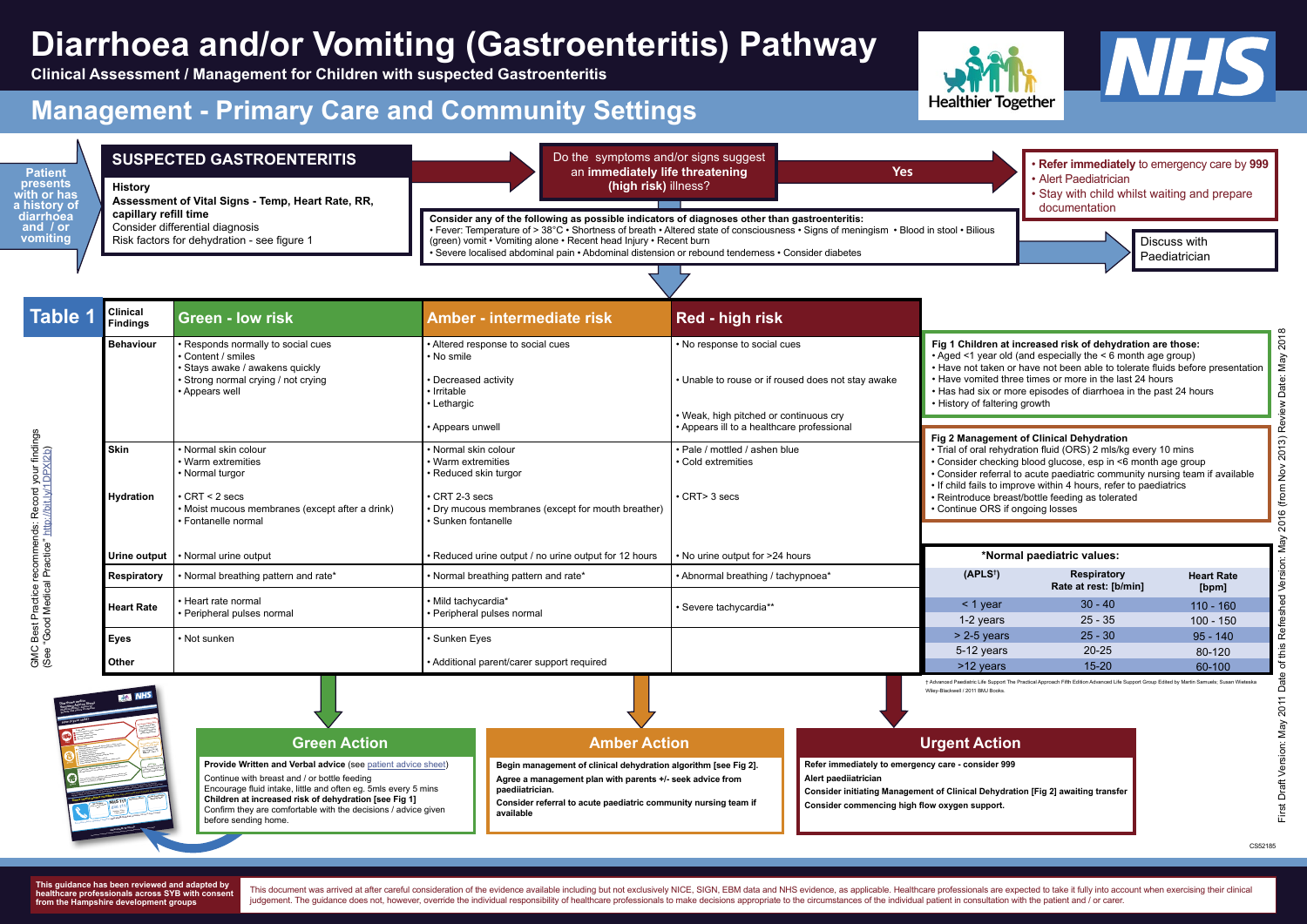**Begin management of clinical dehydration algorithm [see Fig 2]. Agree a management plan with parents +/- seek advice from paediiatrician.** 

**Consider referral to acute paediatric community nursing team if available**



**vomiting** / Risk factors for dehydration - see figure 1 (green) vomit • Vomiting alone • Recent head Injury • Recent burn Discuss with **Consider any of the following as possible indicators of diagnoses other than gastroenteritis:** • Fever: Temperature of > 38°C • Shortness of breath • Altered state of consciousness • Signs of meningism • Blood in stool • Bilious • Severe localised abdominal pain • Abdominal distension or rebound tenderness • Consider diabetes



| <b>Table 1</b> | <b>Clinical</b><br>Findings | <b>Green - low risk</b>                                                                                                                                         | Amber - intermediate risk                                                                                                                                                | Red - high risk                                                                      |                                                                                                                                                                                                                                                                                                                                                                                                                       |                                             |                            |
|----------------|-----------------------------|-----------------------------------------------------------------------------------------------------------------------------------------------------------------|--------------------------------------------------------------------------------------------------------------------------------------------------------------------------|--------------------------------------------------------------------------------------|-----------------------------------------------------------------------------------------------------------------------------------------------------------------------------------------------------------------------------------------------------------------------------------------------------------------------------------------------------------------------------------------------------------------------|---------------------------------------------|----------------------------|
|                | <b>Behaviour</b>            | · Responds normally to social cues<br>• Content / smiles<br>· Stays awake / awakens quickly<br>• Strong normal crying / not crying<br>• Appears well            | • Altered response to social cues<br>• No smile<br><b>Decreased activity</b><br>• Irritable<br>• Lethargic                                                               | • No response to social cues<br>• Unable to rouse or if roused does not stay awake   | Fig 1 Children at increased risk of dehydration are those:<br>• Aged <1 year old (and especially the < 6 month age group)<br>• Have not taken or have not been able to tolerate fluids before presentation<br>. Have vomited three times or more in the last 24 hours<br>• Has had six or more episodes of diarrhoea in the past 24 hours<br>• History of faltering growth                                            |                                             |                            |
|                |                             |                                                                                                                                                                 | • Appears unwell                                                                                                                                                         | • Weak, high pitched or continuous cry<br>• Appears ill to a healthcare professional |                                                                                                                                                                                                                                                                                                                                                                                                                       |                                             |                            |
| <b>Skin</b>    | <b>Hydration</b>            | • Normal skin colour<br>• Warm extremities<br>• Normal turgor<br>$\cdot$ CRT < 2 secs<br>• Moist mucous membranes (except after a drink)<br>• Fontanelle normal | • Normal skin colour<br>• Warm extremities<br>• Reduced skin turgor<br>$\cdot$ CRT 2-3 secs<br>• Dry mucous membranes (except for mouth breather)<br>• Sunken fontanelle | • Pale / mottled / ashen blue<br>• Cold extremities<br>$\cdot$ CRT $>$ 3 secs        | Fig 2 Management of Clinical Dehydration<br>• Trial of oral rehydration fluid (ORS) 2 mls/kg every 10 mins<br>• Consider checking blood glucose, esp in <6 month age group<br>• Consider referral to acute paediatric community nursing team if available<br>• If child fails to improve within 4 hours, refer to paediatrics<br>• Reintroduce breast/bottle feeding as tolerated<br>• Continue ORS if ongoing losses |                                             |                            |
|                | Urine output                | • Normal urine output                                                                                                                                           | • Reduced urine output / no urine output for 12 hours                                                                                                                    | • No urine output for >24 hours                                                      | *Normal paediatric values:                                                                                                                                                                                                                                                                                                                                                                                            |                                             |                            |
|                | <b>Respiratory</b>          | Normal breathing pattern and rate*                                                                                                                              | • Normal breathing pattern and rate*                                                                                                                                     | • Abnormal breathing / tachypnoea*                                                   | (APLS <sup>†</sup> )                                                                                                                                                                                                                                                                                                                                                                                                  | <b>Respiratory</b><br>Rate at rest: [b/min] | <b>Heart Rate</b><br>[bpm] |
|                | <b>Heart Rate</b>           | • Heart rate normal<br>• Peripheral pulses normal                                                                                                               | · Mild tachycardia*<br>· Peripheral pulses normal                                                                                                                        | • Severe tachycardia**                                                               | $\leq$ 1 year<br>1-2 years                                                                                                                                                                                                                                                                                                                                                                                            | $30 - 40$<br>$25 - 35$                      | $110 - 160$                |
| <b>Eyes</b>    |                             | • Not sunken                                                                                                                                                    | · Sunken Eyes                                                                                                                                                            |                                                                                      | $> 2-5$ years                                                                                                                                                                                                                                                                                                                                                                                                         | $25 - 30$                                   | $100 - 150$<br>$95 - 140$  |
|                |                             |                                                                                                                                                                 |                                                                                                                                                                          |                                                                                      | 5-12 years                                                                                                                                                                                                                                                                                                                                                                                                            | $20 - 25$                                   | 80-120                     |
| <b>Other</b>   |                             |                                                                                                                                                                 | • Additional parent/carer support required                                                                                                                               |                                                                                      | >12 years                                                                                                                                                                                                                                                                                                                                                                                                             | $15 - 20$                                   | 60-100                     |

### **SUSPECTED GASTROENTERITIS**

**History Assessment of Vital Signs - Temp, Heart Rate, RR, capillary refill time**  Consider differential diagnosis Risk factors for dehydration - see figure 1

> **Refer immediately to emergency care - consider 999 Alert paediiatrician**

**Consider initiating Management of Clinical Dehydration [Fig 2] awaiting transfer Consider commencing high flow oxygen support.** 

**Patient presents with or has a history of diarrhoea and / or** 

Paediatrician

### Do the symptoms and/or signs suggest an **immediately life threatening (high risk)** illness?

**Yes**

**Provide Written and Verbal advice** (see [patient advice sheet\)](https://sybhealthiertogether.nhs.uk/professionals/gp-primary-care-staff/safety-netting-documents-parents/diarrhoea-andor-vomiting-advice-sheet) Continue with breast and / or bottle feeding Encourage fluid intake, little and often eg. 5mls every 5 mins **Children at increased risk of dehydration [see Fig 1]** Confirm they are comfortable with the decisions / advice given before sending home.

## **Amber Action Contract Contract Action Contract Action**

**This guidance has been reviewed and adapted by healthcare professionals across SYB with consent from the Hampshire development groups**

This document was arrived at after careful consideration of the evidence available including but not exclusively NICE, SIGN, EBM data and NHS evidence, as applicable. Healthcare professionals are expected to take it fully judgement. The guidance does not, however, override the individual responsibility of healthcare professionals to make decisions appropriate to the circumstances of the individual patient in consultation with the patient an

# **Diarrhoea and/or Vomiting (Gastroenteritis) Pathway**

**Clinical Assessment / Management for Children with suspected Gastroenteritis**

## **Management - Primary Care and Community Settings**

† Advanced Paediatric Life Support The Practical Approach Fifth Edition Advanced Life Support Group Edited by Martin Samuels; Susan Wieteska Wiley-Blackwell / 2011 BMJ Books.

CS52185